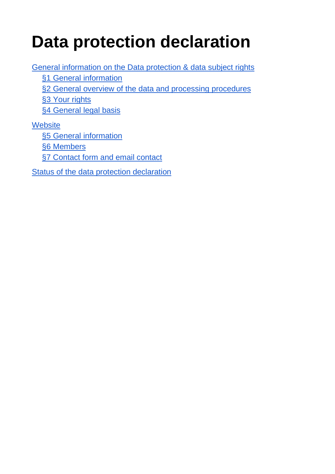# **Data protection declaration**

[General information on the Data protection & data subject rights](#page-1-0) [§1 General information](#page-1-1) [§2 General overview of the data and processing procedures](#page-1-2) [§3 Your rights](#page-2-0) [§4 General legal basis](#page-3-0) **[Website](#page-3-1)** [§5 General information](#page-3-2) [§6 Members](#page-4-0)

[§7 Contact form and email contact](#page-4-1)

[Status of the data protection declaration](#page-5-0)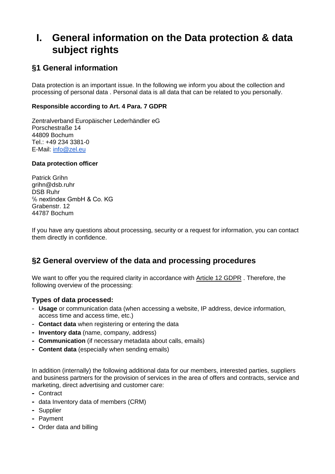# <span id="page-1-0"></span>**I. General information on the Data protection & data subject rights**

## <span id="page-1-1"></span>**§1 General information**

Data protection is an important issue. In the following we inform you about the collection and processing of personal data . Personal data is all data that can be related to you personally.

### **Responsible according to Art. 4 Para. 7 GDPR**

Zentralverband Europäischer Lederhändler eG Porschestraße 14 44809 Bochum Tel.: +49 234 3381-0 E-Mail: [info@zel.eu](mailto:info@zel.eu)

#### **Data protection officer**

Patrick Grihn grihn@dsb.ruhr DSB Ruhr ℅ nextindex GmbH & Co. KG Grabenstr. 12 44787 Bochum

If you have any questions about processing, security or a request for information, you can contact them directly in confidence.

## <span id="page-1-2"></span>**§2 General overview of the data and processing procedures**

We want to offer you the required clarity in accordance with [Article 12 GDPR](https://dsgvo-gesetz.de/art-12-dsgvo/). Therefore, the following overview of the processing:

### **Types of data processed:**

- **Usage** or communication data (when accessing a website, IP address, device information, access time and access time, etc.)
- **Contact data** when registering or entering the data
- **Inventory data** (name, company, address)
- **Communication** (if necessary metadata about calls, emails)
- **Content data** (especially when sending emails)

In addition (internally) the following additional data for our members, interested parties, suppliers and business partners for the provision of services in the area of offers and contracts, service and marketing, direct advertising and customer care:

- Contract
- data Inventory data of members (CRM)
- Supplier
- Payment
- Order data and billing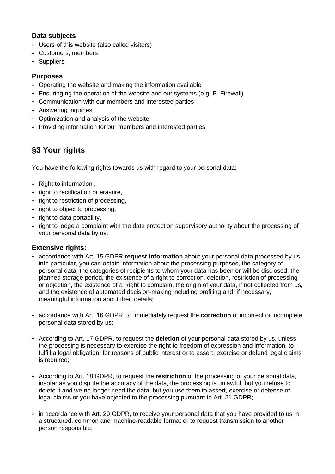## **Data subjects**

- Users of this website (also called visitors)
- Customers, members
- Suppliers

## **Purposes**

- Operating the website and making the information available
- Ensuring ng the operation of the website and our systems (e.g. B. Firewall)
- Communication with our members and interested parties
- Answering inquiries
- Optimization and analysis of the website
- Providing information for our members and interested parties

## <span id="page-2-0"></span>**§3 Your rights**

You have the following rights towards us with regard to your personal data:

- Right to information ,
- right to rectification or erasure,
- right to restriction of processing,
- right to object to processing,
- right to data portability,
- right to lodge a complaint with the data protection supervisory authority about the processing of your personal data by us.

### **Extensive rights:**

- accordance with Art. 15 GDPR **request information** about your personal data processed by us inIn particular, you can obtain information about the processing purposes, the category of personal data, the categories of recipients to whom your data has been or will be disclosed, the planned storage period, the existence of a right to correction, deletion, restriction of processing or objection, the existence of a Right to complain, the origin of your data, if not collected from us, and the existence of automated decision-making including profiling and, if necessary, meaningful information about their details;
- accordance with Art. 16 GDPR, to immediately request the **correction** of incorrect or incomplete personal data stored by us;
- According to Art. 17 GDPR, to request the **deletion** of your personal data stored by us, unless the processing is necessary to exercise the right to freedom of expression and information, to fulfill a legal obligation, for reasons of public interest or to assert, exercise or defend legal claims is required;
- According to Art. 18 GDPR, to request the **restriction** of the processing of your personal data, insofar as you dispute the accuracy of the data, the processing is unlawful, but you refuse to delete it and we no longer need the data, but you use them to assert, exercise or defense of legal claims or you have objected to the processing pursuant to Art. 21 GDPR;
- in accordance with Art. 20 GDPR, to receive your personal data that you have provided to us in a structured, common and machine-readable format or to request transmission to another person responsible;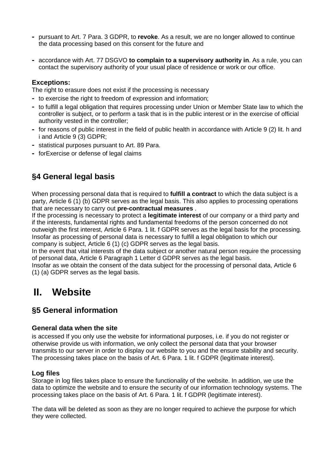- pursuant to Art. 7 Para. 3 GDPR, to **revoke**. As a result, we are no longer allowed to continue the data processing based on this consent for the future and
- accordance with Art. 77 DSGVO **to complain to a supervisory authority in**. As a rule, you can contact the supervisory authority of your usual place of residence or work or our office.

#### **Exceptions:**

The right to erasure does not exist if the processing is necessary

- to exercise the right to freedom of expression and information;
- to fulfill a legal obligation that requires processing under Union or Member State law to which the controller is subject, or to perform a task that is in the public interest or in the exercise of official authority vested in the controller;
- for reasons of public interest in the field of public health in accordance with Article 9 (2) lit. h and i and Article 9 (3) GDPR;
- statistical purposes pursuant to Art. 89 Para.
- forExercise or defense of legal claims

## <span id="page-3-0"></span>**§4 General legal basis**

When processing personal data that is required to **fulfill a contract** to which the data subject is a party, Article 6 (1) (b) GDPR serves as the legal basis. This also applies to processing operations that are necessary to carry out **pre-contractual measures** .

If the processing is necessary to protect a **legitimate interest** of our company or a third party and if the interests, fundamental rights and fundamental freedoms of the person concerned do not outweigh the first interest, Article 6 Para. 1 lit. f GDPR serves as the legal basis for the processing. Insofar as processing of personal data is necessary to fulfill a legal obligation to which our company is subject, Article 6 (1) (c) GDPR serves as the legal basis.

In the event that vital interests of the data subject or another natural person require the processing of personal data, Article 6 Paragraph 1 Letter d GDPR serves as the legal basis.

Insofar as we obtain the consent of the data subject for the processing of personal data, Article 6 (1) (a) GDPR serves as the legal basis.

## <span id="page-3-1"></span>**II. Website**

## <span id="page-3-2"></span>**§5 General information**

#### **General data when the site**

is accessed If you only use the website for informational purposes, i.e. if you do not register or otherwise provide us with information, we only collect the personal data that your browser transmits to our server in order to display our website to you and the ensure stability and security. The processing takes place on the basis of Art. 6 Para. 1 lit. f GDPR (legitimate interest).

#### **Log files**

Storage in log files takes place to ensure the functionality of the website. In addition, we use the data to optimize the website and to ensure the security of our information technology systems. The processing takes place on the basis of Art. 6 Para. 1 lit. f GDPR (legitimate interest).

The data will be deleted as soon as they are no longer required to achieve the purpose for which they were collected.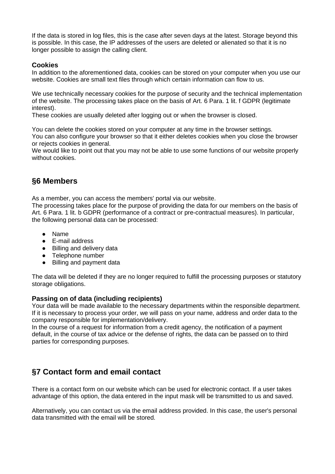If the data is stored in log files, this is the case after seven days at the latest. Storage beyond this is possible. In this case, the IP addresses of the users are deleted or alienated so that it is no longer possible to assign the calling client.

## **Cookies**

In addition to the aforementioned data, cookies can be stored on your computer when you use our website. Cookies are small text files through which certain information can flow to us.

We use technically necessary cookies for the purpose of security and the technical implementation of the website. The processing takes place on the basis of Art. 6 Para. 1 lit. f GDPR (legitimate interest).

These cookies are usually deleted after logging out or when the browser is closed.

You can delete the cookies stored on your computer at any time in the browser settings. You can also configure your browser so that it either deletes cookies when you close the browser or rejects cookies in general.

We would like to point out that you may not be able to use some functions of our website properly without cookies.

## <span id="page-4-0"></span>**§6 Members**

As a member, you can access the members' portal via our website.

The processing takes place for the purpose of providing the data for our members on the basis of Art. 6 Para. 1 lit. b GDPR (performance of a contract or pre-contractual measures). In particular, the following personal data can be processed:

- Name
- E-mail address
- Billing and delivery data
- Telephone number
- Billing and payment data

The data will be deleted if they are no longer required to fulfill the processing purposes or statutory storage obligations.

### **Passing on of data (including recipients)**

Your data will be made available to the necessary departments within the responsible department. If it is necessary to process your order, we will pass on your name, address and order data to the company responsible for implementation/delivery.

In the course of a request for information from a credit agency, the notification of a payment default, in the course of tax advice or the defense of rights, the data can be passed on to third parties for corresponding purposes.

## <span id="page-4-1"></span>**§7 Contact form and email contact**

There is a contact form on our website which can be used for electronic contact. If a user takes advantage of this option, the data entered in the input mask will be transmitted to us and saved.

Alternatively, you can contact us via the email address provided. In this case, the user's personal data transmitted with the email will be stored.